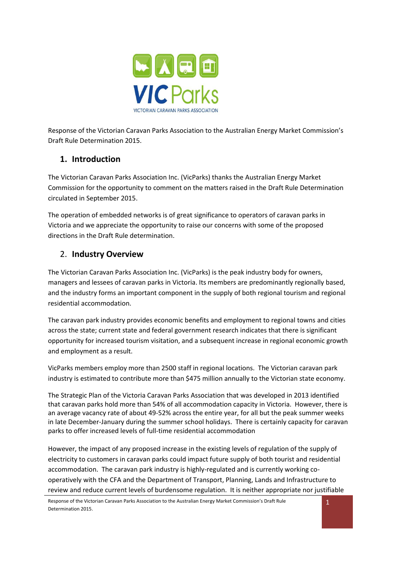

Response of the Victorian Caravan Parks Association to the Australian Energy Market Commission's Draft Rule Determination 2015.

## **1. Introduction**

The Victorian Caravan Parks Association Inc. (VicParks) thanks the Australian Energy Market Commission for the opportunity to comment on the matters raised in the Draft Rule Determination circulated in September 2015.

The operation of embedded networks is of great significance to operators of caravan parks in Victoria and we appreciate the opportunity to raise our concerns with some of the proposed directions in the Draft Rule determination.

### 2. **Industry Overview**

The Victorian Caravan Parks Association Inc. (VicParks) is the peak industry body for owners, managers and lessees of caravan parks in Victoria. Its members are predominantly regionally based, and the industry forms an important component in the supply of both regional tourism and regional residential accommodation.

The caravan park industry provides economic benefits and employment to regional towns and cities across the state; current state and federal government research indicates that there is significant opportunity for increased tourism visitation, and a subsequent increase in regional economic growth and employment as a result.

VicParks members employ more than 2500 staff in regional locations. The Victorian caravan park industry is estimated to contribute more than \$475 million annually to the Victorian state economy.

The Strategic Plan of the Victoria Caravan Parks Association that was developed in 2013 identified that caravan parks hold more than 54% of all accommodation capacity in Victoria. However, there is an average vacancy rate of about 49-52% across the entire year, for all but the peak summer weeks in late December-January during the summer school holidays. There is certainly capacity for caravan parks to offer increased levels of full-time residential accommodation

However, the impact of any proposed increase in the existing levels of regulation of the supply of electricity to customers in caravan parks could impact future supply of both tourist and residential accommodation. The caravan park industry is highly-regulated and is currently working cooperatively with the CFA and the Department of Transport, Planning, Lands and Infrastructure to review and reduce current levels of burdensome regulation. It is neither appropriate nor justifiable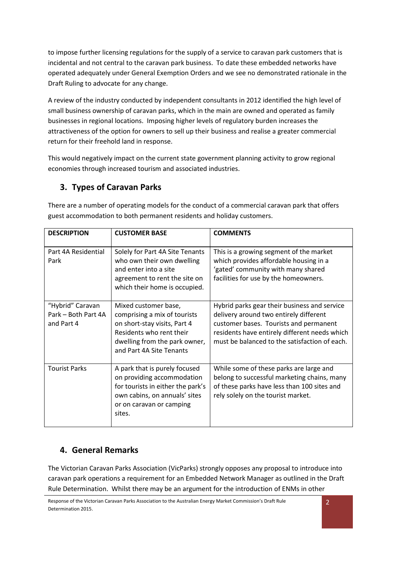to impose further licensing regulations for the supply of a service to caravan park customers that is incidental and not central to the caravan park business. To date these embedded networks have operated adequately under General Exemption Orders and we see no demonstrated rationale in the Draft Ruling to advocate for any change.

A review of the industry conducted by independent consultants in 2012 identified the high level of small business ownership of caravan parks, which in the main are owned and operated as family businesses in regional locations. Imposing higher levels of regulatory burden increases the attractiveness of the option for owners to sell up their business and realise a greater commercial return for their freehold land in response.

This would negatively impact on the current state government planning activity to grow regional economies through increased tourism and associated industries.

# **3. Types of Caravan Parks**

| <b>DESCRIPTION</b>                                    | <b>CUSTOMER BASE</b>                                                                                                                                                          | <b>COMMENTS</b>                                                                                                                                                                                                                    |
|-------------------------------------------------------|-------------------------------------------------------------------------------------------------------------------------------------------------------------------------------|------------------------------------------------------------------------------------------------------------------------------------------------------------------------------------------------------------------------------------|
| Part 4A Residential<br>Park                           | Solely for Part 4A Site Tenants<br>who own their own dwelling<br>and enter into a site<br>agreement to rent the site on<br>which their home is occupied.                      | This is a growing segment of the market<br>which provides affordable housing in a<br>'gated' community with many shared<br>facilities for use by the homeowners.                                                                   |
| "Hybrid" Caravan<br>Park - Both Part 4A<br>and Part 4 | Mixed customer base,<br>comprising a mix of tourists<br>on short-stay visits, Part 4<br>Residents who rent their<br>dwelling from the park owner,<br>and Part 4A Site Tenants | Hybrid parks gear their business and service<br>delivery around two entirely different<br>customer bases. Tourists and permanent<br>residents have entirely different needs which<br>must be balanced to the satisfaction of each. |
| <b>Tourist Parks</b>                                  | A park that is purely focused<br>on providing accommodation<br>for tourists in either the park's<br>own cabins, on annuals' sites<br>or on caravan or camping<br>sites.       | While some of these parks are large and<br>belong to successful marketing chains, many<br>of these parks have less than 100 sites and<br>rely solely on the tourist market.                                                        |

There are a number of operating models for the conduct of a commercial caravan park that offers guest accommodation to both permanent residents and holiday customers.

# **4. General Remarks**

The Victorian Caravan Parks Association (VicParks) strongly opposes any proposal to introduce into caravan park operations a requirement for an Embedded Network Manager as outlined in the Draft Rule Determination. Whilst there may be an argument for the introduction of ENMs in other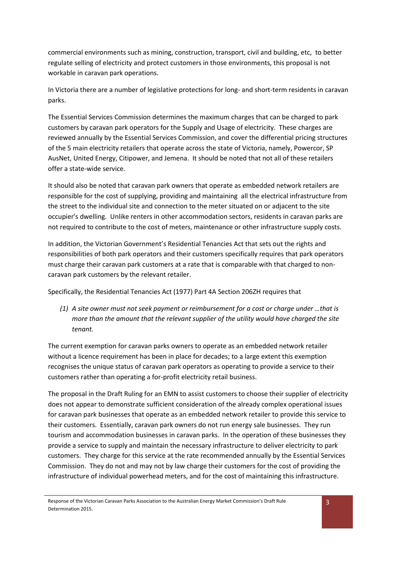commercial environments such as mining, construction, transport, civil and building, etc, to better regulate selling of electricity and protect customers in those environments, this proposal is not workable in caravan park operations.

In Victoria there are a number of legislative protections for long- and short-term residents in caravan parks.

The Essential Services Commission determines the maximum charges that can be charged to park customers by caravan park operators for the Supply and Usage of electricity. These charges are reviewed annually by the Essential Services Commission, and cover the differential pricing structures of the 5 main electricity retailers that operate across the state of Victoria, namely, Powercor, SP AusNet, United Energy, Citipower, and Jemena. It should be noted that not all of these retailers offer a state-wide service.

It should also be noted that caravan park owners that operate as embedded network retailers are responsible for the cost of supplying, providing and maintaining all the electrical infrastructure from the street to the individual site and connection to the meter situated on or adjacent to the site occupier's dwelling. Unlike renters in other accommodation sectors, residents in caravan parks are not required to contribute to the cost of meters, maintenance or other infrastructure supply costs.

In addition, the Victorian Government's Residential Tenancies Act that sets out the rights and responsibilities of both park operators and their customers specifically requires that park operators must charge their caravan park customers at a rate that is comparable with that charged to noncaravan park customers by the relevant retailer.

Specifically, the Residential Tenancies Act (1977) Part 4A Section 206ZH requires that

*(1) A site owner must not seek payment or reimbursement for a cost or charge under …that is more than the amount that the relevant supplier of the utility would have charged the site tenant.*

The current exemption for caravan parks owners to operate as an embedded network retailer without a licence requirement has been in place for decades; to a large extent this exemption recognises the unique status of caravan park operators as operating to provide a service to their customers rather than operating a for-profit electricity retail business.

The proposal in the Draft Ruling for an EMN to assist customers to choose their supplier of electricity does not appear to demonstrate sufficient consideration of the already complex operational issues for caravan park businesses that operate as an embedded network retailer to provide this service to their customers. Essentially, caravan park owners do not run energy sale businesses. They run tourism and accommodation businesses in caravan parks. In the operation of these businesses they provide a service to supply and maintain the necessary infrastructure to deliver electricity to park customers. They charge for this service at the rate recommended annually by the Essential Services Commission. They do not and may not by law charge their customers for the cost of providing the infrastructure of individual powerhead meters, and for the cost of maintaining this infrastructure.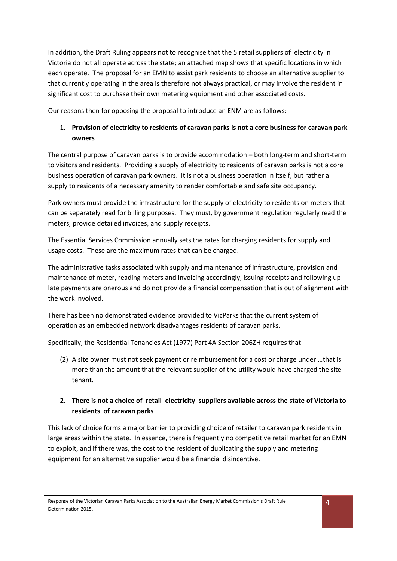In addition, the Draft Ruling appears not to recognise that the 5 retail suppliers of electricity in Victoria do not all operate across the state; an attached map shows that specific locations in which each operate. The proposal for an EMN to assist park residents to choose an alternative supplier to that currently operating in the area is therefore not always practical, or may involve the resident in significant cost to purchase their own metering equipment and other associated costs.

Our reasons then for opposing the proposal to introduce an ENM are as follows:

### **1. Provision of electricity to residents of caravan parks is not a core business for caravan park owners**

The central purpose of caravan parks is to provide accommodation – both long-term and short-term to visitors and residents. Providing a supply of electricity to residents of caravan parks is not a core business operation of caravan park owners. It is not a business operation in itself, but rather a supply to residents of a necessary amenity to render comfortable and safe site occupancy.

Park owners must provide the infrastructure for the supply of electricity to residents on meters that can be separately read for billing purposes. They must, by government regulation regularly read the meters, provide detailed invoices, and supply receipts.

The Essential Services Commission annually sets the rates for charging residents for supply and usage costs. These are the maximum rates that can be charged.

The administrative tasks associated with supply and maintenance of infrastructure, provision and maintenance of meter, reading meters and invoicing accordingly, issuing receipts and following up late payments are onerous and do not provide a financial compensation that is out of alignment with the work involved.

There has been no demonstrated evidence provided to VicParks that the current system of operation as an embedded network disadvantages residents of caravan parks.

Specifically, the Residential Tenancies Act (1977) Part 4A Section 206ZH requires that

(2) A site owner must not seek payment or reimbursement for a cost or charge under …that is more than the amount that the relevant supplier of the utility would have charged the site tenant.

### **2. There is not a choice of retail electricity suppliers available across the state of Victoria to residents of caravan parks**

This lack of choice forms a major barrier to providing choice of retailer to caravan park residents in large areas within the state. In essence, there is frequently no competitive retail market for an EMN to exploit, and if there was, the cost to the resident of duplicating the supply and metering equipment for an alternative supplier would be a financial disincentive.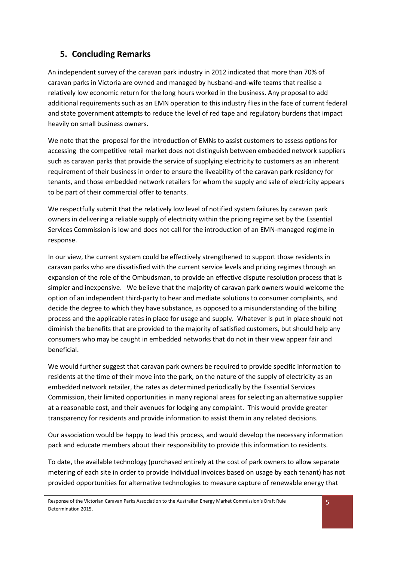## **5. Concluding Remarks**

An independent survey of the caravan park industry in 2012 indicated that more than 70% of caravan parks in Victoria are owned and managed by husband-and-wife teams that realise a relatively low economic return for the long hours worked in the business. Any proposal to add additional requirements such as an EMN operation to this industry flies in the face of current federal and state government attempts to reduce the level of red tape and regulatory burdens that impact heavily on small business owners.

We note that the proposal for the introduction of EMNs to assist customers to assess options for accessing the competitive retail market does not distinguish between embedded network suppliers such as caravan parks that provide the service of supplying electricity to customers as an inherent requirement of their business in order to ensure the liveability of the caravan park residency for tenants, and those embedded network retailers for whom the supply and sale of electricity appears to be part of their commercial offer to tenants.

We respectfully submit that the relatively low level of notified system failures by caravan park owners in delivering a reliable supply of electricity within the pricing regime set by the Essential Services Commission is low and does not call for the introduction of an EMN-managed regime in response.

In our view, the current system could be effectively strengthened to support those residents in caravan parks who are dissatisfied with the current service levels and pricing regimes through an expansion of the role of the Ombudsman, to provide an effective dispute resolution process that is simpler and inexpensive. We believe that the majority of caravan park owners would welcome the option of an independent third-party to hear and mediate solutions to consumer complaints, and decide the degree to which they have substance, as opposed to a misunderstanding of the billing process and the applicable rates in place for usage and supply. Whatever is put in place should not diminish the benefits that are provided to the majority of satisfied customers, but should help any consumers who may be caught in embedded networks that do not in their view appear fair and beneficial.

We would further suggest that caravan park owners be required to provide specific information to residents at the time of their move into the park, on the nature of the supply of electricity as an embedded network retailer, the rates as determined periodically by the Essential Services Commission, their limited opportunities in many regional areas for selecting an alternative supplier at a reasonable cost, and their avenues for lodging any complaint. This would provide greater transparency for residents and provide information to assist them in any related decisions.

Our association would be happy to lead this process, and would develop the necessary information pack and educate members about their responsibility to provide this information to residents.

To date, the available technology (purchased entirely at the cost of park owners to allow separate metering of each site in order to provide individual invoices based on usage by each tenant) has not provided opportunities for alternative technologies to measure capture of renewable energy that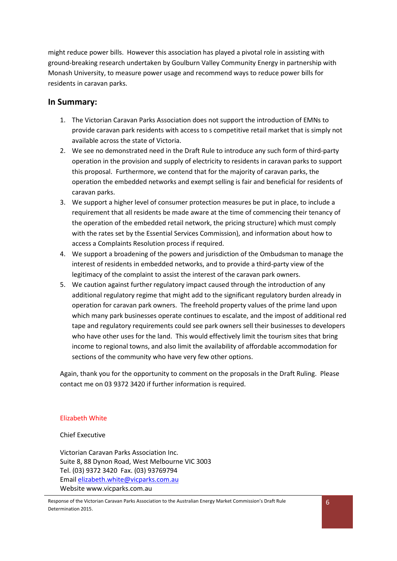might reduce power bills. However this association has played a pivotal role in assisting with ground-breaking research undertaken by Goulburn Valley Community Energy in partnership with Monash University, to measure power usage and recommend ways to reduce power bills for residents in caravan parks.

#### **In Summary:**

- 1. The Victorian Caravan Parks Association does not support the introduction of EMNs to provide caravan park residents with access to s competitive retail market that is simply not available across the state of Victoria.
- 2. We see no demonstrated need in the Draft Rule to introduce any such form of third-party operation in the provision and supply of electricity to residents in caravan parks to support this proposal. Furthermore, we contend that for the majority of caravan parks, the operation the embedded networks and exempt selling is fair and beneficial for residents of caravan parks.
- 3. We support a higher level of consumer protection measures be put in place, to include a requirement that all residents be made aware at the time of commencing their tenancy of the operation of the embedded retail network, the pricing structure) which must comply with the rates set by the Essential Services Commission), and information about how to access a Complaints Resolution process if required.
- 4. We support a broadening of the powers and jurisdiction of the Ombudsman to manage the interest of residents in embedded networks, and to provide a third-party view of the legitimacy of the complaint to assist the interest of the caravan park owners.
- 5. We caution against further regulatory impact caused through the introduction of any additional regulatory regime that might add to the significant regulatory burden already in operation for caravan park owners. The freehold property values of the prime land upon which many park businesses operate continues to escalate, and the impost of additional red tape and regulatory requirements could see park owners sell their businesses to developers who have other uses for the land. This would effectively limit the tourism sites that bring income to regional towns, and also limit the availability of affordable accommodation for sections of the community who have very few other options.

Again, thank you for the opportunity to comment on the proposals in the Draft Ruling. Please contact me on 03 9372 3420 if further information is required.

#### Elizabeth White

Chief Executive

Victorian Caravan Parks Association Inc. Suite 8, 88 Dynon Road, West Melbourne VIC 3003 Tel. (03) 9372 3420 Fax. (03) 93769794 Email [elizabeth.white@vicparks.com.au](mailto:elizabeth.white@vicparks.com.au) Website www.vicparks.com.au

Response of the Victorian Caravan Parks Association to the Australian Energy Market Commission's Draft Rule Determination 2015.